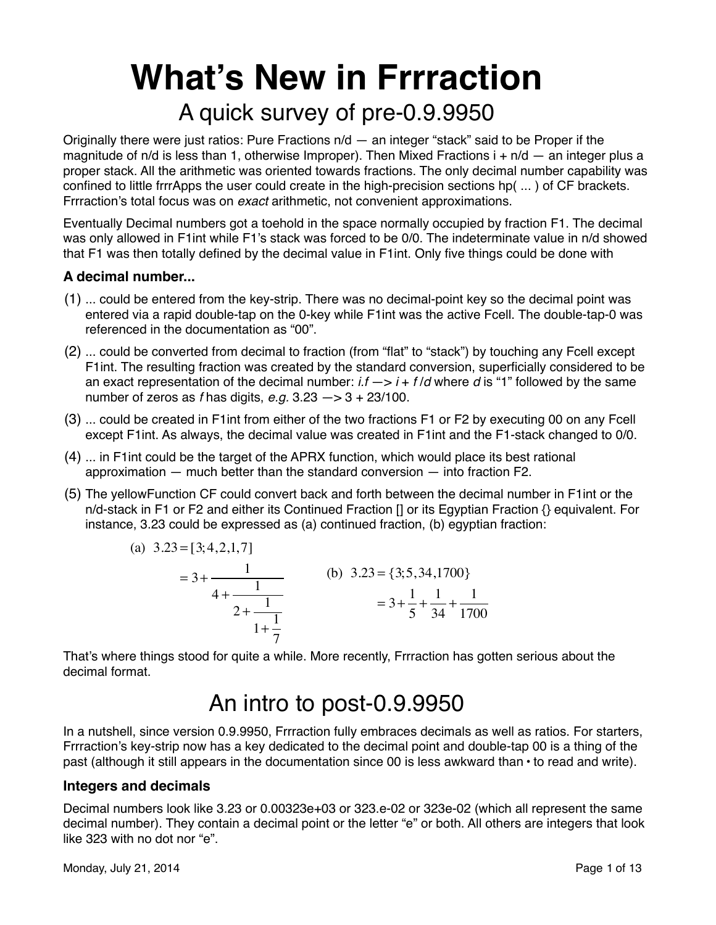# **What's New in Frrraction** A quick survey of pre-0.9.9950

Originally there were just ratios: Pure Fractions n/d — an integer "stack" said to be Proper if the magnitude of n/d is less than 1, otherwise Improper). Then Mixed Fractions  $i + n/d -$  an integer plus a proper stack. All the arithmetic was oriented towards fractions. The only decimal number capability was confined to little frrrApps the user could create in the high-precision sections hp( ... ) of CF brackets. Frrraction's total focus was on *exact* arithmetic, not convenient approximations.

Eventually Decimal numbers got a toehold in the space normally occupied by fraction F1. The decimal was only allowed in F1int while F1's stack was forced to be 0/0. The indeterminate value in n/d showed that F1 was then totally defined by the decimal value in F1int. Only five things could be done with

#### **A decimal number...**

- (1) ... could be entered from the key-strip. There was no decimal-point key so the decimal point was entered via a rapid double-tap on the 0-key while F1int was the active Fcell. The double-tap-0 was referenced in the documentation as "00".
- (2) ... could be converted from decimal to fraction (from "flat" to "stack") by touching any Fcell except F1int. The resulting fraction was created by the standard conversion, superficially considered to be an exact representation of the decimal number: *i.f* —> *i* + *f* /*d* where *d* is "1" followed by the same number of zeros as *f* has digits, *e.g.* 3.23 —> 3 + 23/100.
- (3) ... could be created in F1int from either of the two fractions F1 or F2 by executing 00 on any Fcell except F1int. As always, the decimal value was created in F1int and the F1-stack changed to 0/0.
- (4) ... in F1int could be the target of the APRX function, which would place its best rational approximation — much better than the standard conversion — into fraction F2.
- (5) The yellowFunction CF could convert back and forth between the decimal number in F1int or the n/d-stack in F1 or F2 and either its Continued Fraction [] or its Egyptian Fraction {} equivalent. For instance, 3.23 could be expressed as (a) continued fraction, (b) egyptian fraction:

(a) 
$$
3.23 = [3; 4, 2, 1, 7]
$$
  
\t $= 3 + \frac{1}{2 + \frac{1}{2 + \frac{1}{1 + \frac{1}{7}}}}$  (b)  $3.23 = \{3; 5, 34, 1700\}$   
\t $= 3 + \frac{1}{5} + \frac{1}{34} + \frac{1}{1700}$ 

That's where things stood for quite a while. More recently, Frrraction has gotten serious about the decimal format.

# An intro to post-0.9.9950

In a nutshell, since version 0.9.9950, Frrraction fully embraces decimals as well as ratios. For starters, Frrraction's key-strip now has a key dedicated to the decimal point and double-tap 00 is a thing of the past (although it still appears in the documentation since 00 is less awkward than **·** to read and write).

#### **Integers and decimals**

Decimal numbers look like 3.23 or 0.00323e+03 or 323.e-02 or 323e-02 (which all represent the same decimal number). They contain a decimal point or the letter "e" or both. All others are integers that look like 323 with no dot nor "e".

Monday, July 21, 2014 **Page 1 of 13**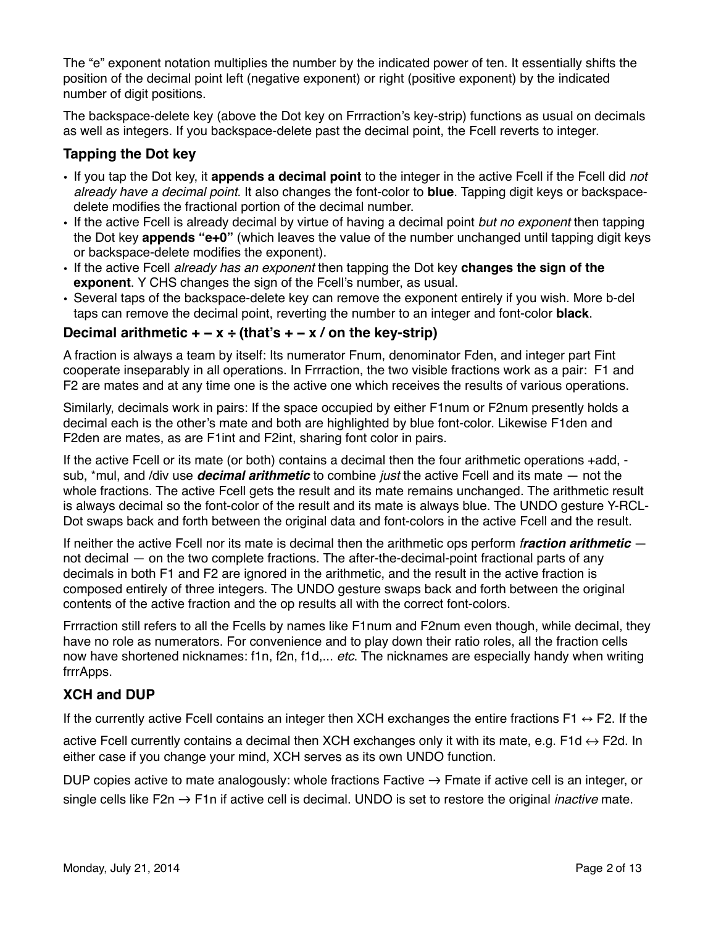The "e" exponent notation multiplies the number by the indicated power of ten. It essentially shifts the position of the decimal point left (negative exponent) or right (positive exponent) by the indicated number of digit positions.

The backspace-delete key (above the Dot key on Frrraction's key-strip) functions as usual on decimals as well as integers. If you backspace-delete past the decimal point, the Fcell reverts to integer.

#### **Tapping the Dot key**

- If you tap the Dot key, it **appends a decimal point** to the integer in the active Fcell if the Fcell did *not already have a decimal point*. It also changes the font-color to **blue**. Tapping digit keys or backspacedelete modifies the fractional portion of the decimal number.
- If the active Fcell is already decimal by virtue of having a decimal point *but no exponent* then tapping the Dot key **appends "e+0"** (which leaves the value of the number unchanged until tapping digit keys or backspace-delete modifies the exponent).
- If the active Fcell *already has an exponent* then tapping the Dot key **changes the sign of the exponent**. Y CHS changes the sign of the Fcell's number, as usual.
- Several taps of the backspace-delete key can remove the exponent entirely if you wish. More b-del taps can remove the decimal point, reverting the number to an integer and font-color **black**.

#### **Decimal arithmetic + − x ÷ (that's + − x / on the key-strip)**

A fraction is always a team by itself: Its numerator Fnum, denominator Fden, and integer part Fint cooperate inseparably in all operations. In Frrraction, the two visible fractions work as a pair: F1 and F2 are mates and at any time one is the active one which receives the results of various operations.

Similarly, decimals work in pairs: If the space occupied by either F1num or F2num presently holds a decimal each is the other's mate and both are highlighted by blue font-color. Likewise F1den and F2den are mates, as are F1int and F2int, sharing font color in pairs.

If the active Fcell or its mate (or both) contains a decimal then the four arithmetic operations +add, sub, \*mul, and /div use *decimal arithmetic* to combine *just* the active Fcell and its mate — not the whole fractions. The active Fcell gets the result and its mate remains unchanged. The arithmetic result is always decimal so the font-color of the result and its mate is always blue. The UNDO gesture Y-RCL-Dot swaps back and forth between the original data and font-colors in the active Fcell and the result.

If neither the active Fcell nor its mate is decimal then the arithmetic ops perform *fraction arithmetic* not decimal — on the two complete fractions. The after-the-decimal-point fractional parts of any decimals in both F1 and F2 are ignored in the arithmetic, and the result in the active fraction is composed entirely of three integers. The UNDO gesture swaps back and forth between the original contents of the active fraction and the op results all with the correct font-colors.

Frrraction still refers to all the Fcells by names like F1num and F2num even though, while decimal, they have no role as numerators. For convenience and to play down their ratio roles, all the fraction cells now have shortened nicknames: f1n, f2n, f1d,... *etc*. The nicknames are especially handy when writing frrrApps.

#### **XCH and DUP**

If the currently active Fcell contains an integer then XCH exchanges the entire fractions F1  $\leftrightarrow$  F2. If the

active Fcell currently contains a decimal then XCH exchanges only it with its mate, e.g. F1d  $\leftrightarrow$  F2d. In either case if you change your mind, XCH serves as its own UNDO function.

DUP copies active to mate analogously: whole fractions Factive → Fmate if active cell is an integer, or single cells like F2n → F1n if active cell is decimal. UNDO is set to restore the original *inactive* mate.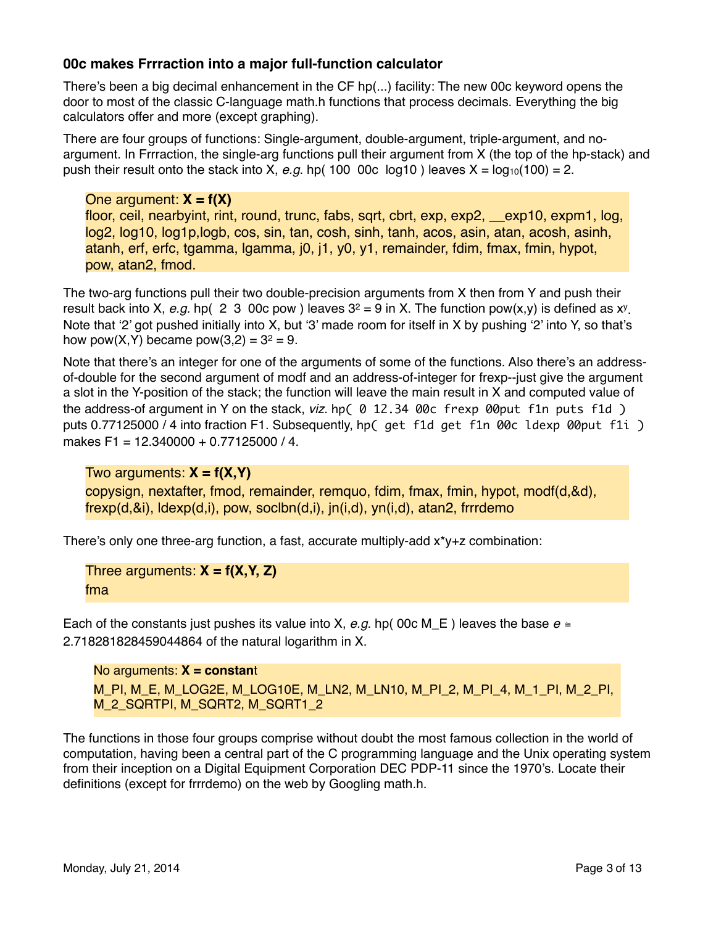#### **00c makes Frrraction into a major full-function calculator**

There's been a big decimal enhancement in the CF hp(...) facility: The new 00c keyword opens the door to most of the classic C-language math.h functions that process decimals. Everything the big calculators offer and more (except graphing).

There are four groups of functions: Single-argument, double-argument, triple-argument, and noargument. In Frrraction, the single-arg functions pull their argument from X (the top of the hp-stack) and push their result onto the stack into X, *e.g.* hp( 100 00c log10) leaves  $X = log_{10}(100) = 2$ .

One argument: **X = f(X)** floor, ceil, nearbyint, rint, round, trunc, fabs, sqrt, cbrt, exp, exp2, \_\_exp10, expm1, log, log2, log10, log1p,logb, cos, sin, tan, cosh, sinh, tanh, acos, asin, atan, acosh, asinh, atanh, erf, erfc, tgamma, lgamma, j0, j1, y0, y1, remainder, fdim, fmax, fmin, hypot, pow, atan2, fmod.

The two-arg functions pull their two double-precision arguments from X then from Y and push their result back into X, *e.g.* hp(2 3 00c pow ) leaves 32 = 9 in X. The function pow(x,y) is defined as xy . Note that '2' got pushed initially into X, but '3' made room for itself in X by pushing '2' into Y, so that's how pow(X,Y) became pow(3,2) =  $3^2 = 9$ .

Note that there's an integer for one of the arguments of some of the functions. Also there's an addressof-double for the second argument of modf and an address-of-integer for frexp--just give the argument a slot in the Y-position of the stack; the function will leave the main result in X and computed value of the address-of argument in Y on the stack, *viz.* hp( 0 12.34 00c frexp 00put f1n puts f1d) puts 0.77125000 / 4 into fraction F1. Subsequently, hp( get f1d get f1n 00c ldexp 00put f1i ) makes F1 = 12.340000 + 0.77125000 / 4.

Two arguments: **X = f(X,Y)**

copysign, nextafter, fmod, remainder, remquo, fdim, fmax, fmin, hypot, modf(d,&d), frexp(d,&i), ldexp(d,i), pow, soclbn(d,i), jn(i,d), yn(i,d), atan2, frrrdemo

There's only one three-arg function, a fast, accurate multiply-add  $x^*y+z$  combination:

Three arguments: **X = f(X,Y, Z)** fma

Each of the constants just pushes its value into X,  $e.q$ . hp( 00c M E ) leaves the base  $e \equiv$ 2.718281828459044864 of the natural logarithm in X.

```
No arguments: X = constant
M_PI, M_E, M_LOG2E, M_LOG10E, M_LN2, M_LN10, M_PI_2, M_PI_4, M_1_PI, M_2_PI, 
M_2_SQRTPI, M_SQRT2, M_SQRT1_2
```
The functions in those four groups comprise without doubt the most famous collection in the world of computation, having been a central part of the C programming language and the Unix operating system from their inception on a Digital Equipment Corporation DEC PDP-11 since the 1970's. Locate their definitions (except for frrrdemo) on the web by Googling math.h.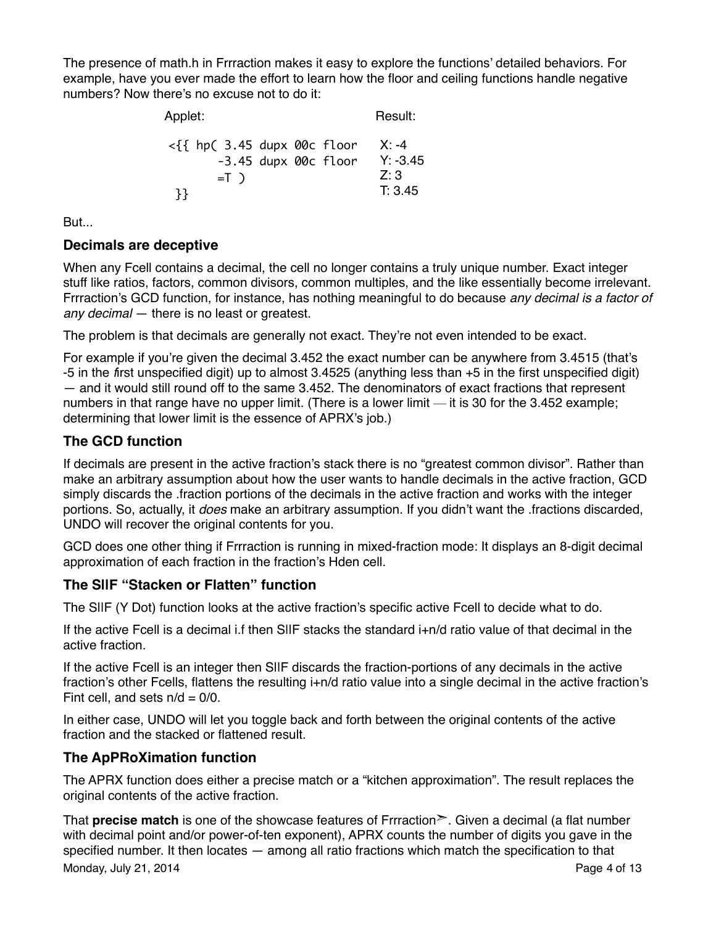The presence of math.h in Frrraction makes it easy to explore the functions' detailed behaviors. For example, have you ever made the effort to learn how the floor and ceiling functions handle negative numbers? Now there's no excuse not to do it:

| Applet:                                 | Result:    |
|-----------------------------------------|------------|
| $\langle \{ \}$ hp( 3.45 dupx 00c floor | $X: -4$    |
| -3.45 dupx 00c floor                    | $Y: -3.45$ |
| $=$ T $)$                               | Z:3        |
| 33                                      | T: 3.45    |

But...

#### **Decimals are deceptive**

When any Fcell contains a decimal, the cell no longer contains a truly unique number. Exact integer stuff like ratios, factors, common divisors, common multiples, and the like essentially become irrelevant. Frrraction's GCD function, for instance, has nothing meaningful to do because *any decimal is a factor of any decimal* — there is no least or greatest.

The problem is that decimals are generally not exact. They're not even intended to be exact.

For example if you're given the decimal 3.452 the exact number can be anywhere from 3.4515 (that's -5 in the *f*irst unspecified digit) up to almost 3.4525 (anything less than +5 in the first unspecified digit) — and it would still round off to the same 3.452. The denominators of exact fractions that represent numbers in that range have no upper limit. (There is a lower limit — it is 30 for the 3.452 example; determining that lower limit is the essence of APRX's job.)

#### **The GCD function**

If decimals are present in the active fraction's stack there is no "greatest common divisor". Rather than make an arbitrary assumption about how the user wants to handle decimals in the active fraction, GCD simply discards the .fraction portions of the decimals in the active fraction and works with the integer portions. So, actually, it *does* make an arbitrary assumption. If you didn't want the .fractions discarded, UNDO will recover the original contents for you.

GCD does one other thing if Frrraction is running in mixed-fraction mode: It displays an 8-digit decimal approximation of each fraction in the fraction's Hden cell.

#### **The S||F "Stacken or Flatten" function**

The S||F (Y Dot) function looks at the active fraction's specific active Fcell to decide what to do.

If the active Fcell is a decimal i.f then SIIF stacks the standard i+n/d ratio value of that decimal in the active fraction.

If the active Fcell is an integer then SIIF discards the fraction-portions of any decimals in the active fraction's other Fcells, flattens the resulting i+n/d ratio value into a single decimal in the active fraction's Fint cell, and sets  $n/d = 0/0$ .

In either case, UNDO will let you toggle back and forth between the original contents of the active fraction and the stacked or flattened result.

#### **The ApPRoXimation function**

The APRX function does either a precise match or a "kitchen approximation". The result replaces the original contents of the active fraction.

That **precise match** is one of the showcase features of Frrraction➣. Given a decimal (a flat number with decimal point and/or power-of-ten exponent), APRX counts the number of digits you gave in the specified number. It then locates — among all ratio fractions which match the specification to that Monday, July 21, 2014 **Page 4 of 13**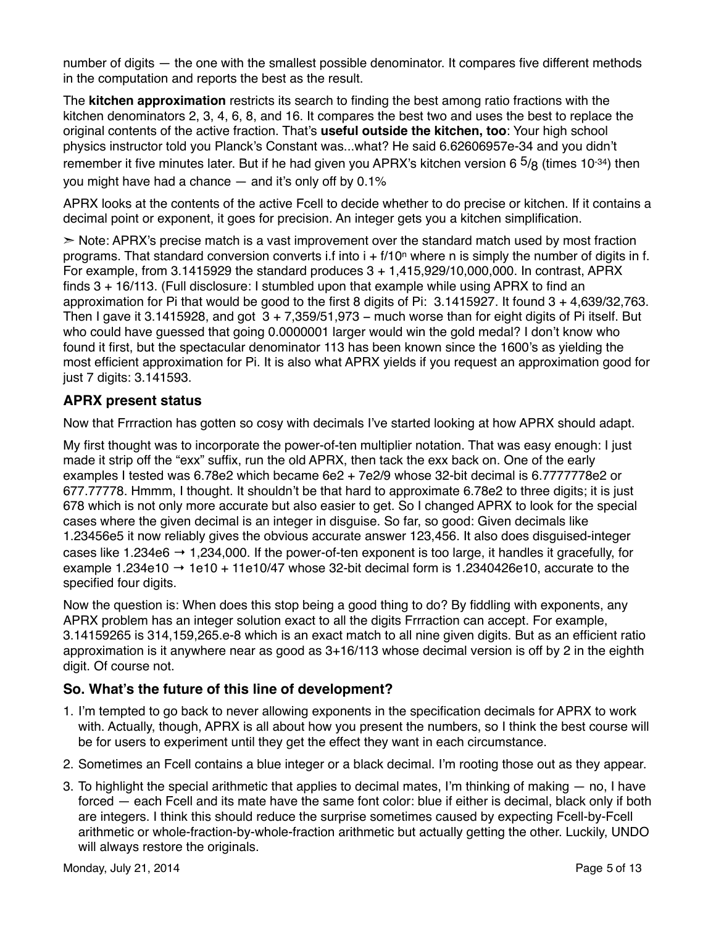number of digits — the one with the smallest possible denominator. It compares five different methods in the computation and reports the best as the result.

The **kitchen approximation** restricts its search to finding the best among ratio fractions with the kitchen denominators 2, 3, 4, 6, 8, and 16. It compares the best two and uses the best to replace the original contents of the active fraction. That's **useful outside the kitchen, too**: Your high school physics instructor told you Planck's Constant was...what? He said 6.62606957e-34 and you didn't remember it five minutes later. But if he had given you APRX's kitchen version 6  $\frac{5}{8}$  (times 10<sup>-34</sup>) then you might have had a chance — and it's only off by 0.1%

APRX looks at the contents of the active Fcell to decide whether to do precise or kitchen. If it contains a decimal point or exponent, it goes for precision. An integer gets you a kitchen simplification.

 $\geq$  Note: APRX's precise match is a vast improvement over the standard match used by most fraction programs. That standard conversion converts i.f into  $i + f/10^n$  where n is simply the number of digits in f. For example, from  $3.1415929$  the standard produces  $3 + 1.415.929/10.000.000$ . In contrast, APRX finds 3 + 16/113. (Full disclosure: I stumbled upon that example while using APRX to find an approximation for Pi that would be good to the first 8 digits of Pi: 3.1415927. It found 3 + 4,639/32,763. Then I gave it 3.1415928, and got  $3 + 7,359/51,973$  – much worse than for eight digits of Pi itself. But who could have guessed that going 0.0000001 larger would win the gold medal? I don't know who found it first, but the spectacular denominator 113 has been known since the 1600's as yielding the most efficient approximation for Pi. It is also what APRX yields if you request an approximation good for just 7 digits: 3.141593.

#### **APRX present status**

Now that Frrraction has gotten so cosy with decimals I've started looking at how APRX should adapt.

My first thought was to incorporate the power-of-ten multiplier notation. That was easy enough: I just made it strip off the "exx" suffix, run the old APRX, then tack the exx back on. One of the early examples I tested was 6.78e2 which became 6e2 + 7e2/9 whose 32-bit decimal is 6.7777778e2 or 677.77778. Hmmm, I thought. It shouldn't be that hard to approximate 6.78e2 to three digits; it is just 678 which is not only more accurate but also easier to get. So I changed APRX to look for the special cases where the given decimal is an integer in disguise. So far, so good: Given decimals like 1.23456e5 it now reliably gives the obvious accurate answer 123,456. It also does disguised-integer cases like 1.234e6  $\rightarrow$  1,234,000. If the power-of-ten exponent is too large, it handles it gracefully, for example 1.234e10  $\rightarrow$  1e10 + 11e10/47 whose 32-bit decimal form is 1.2340426e10, accurate to the specified four digits.

Now the question is: When does this stop being a good thing to do? By fiddling with exponents, any APRX problem has an integer solution exact to all the digits Frrraction can accept. For example, 3.14159265 is 314,159,265.e-8 which is an exact match to all nine given digits. But as an efficient ratio approximation is it anywhere near as good as 3+16/113 whose decimal version is off by 2 in the eighth digit. Of course not.

#### **So. What's the future of this line of development?**

- 1. I'm tempted to go back to never allowing exponents in the specification decimals for APRX to work with. Actually, though, APRX is all about how you present the numbers, so I think the best course will be for users to experiment until they get the effect they want in each circumstance.
- 2. Sometimes an Fcell contains a blue integer or a black decimal. I'm rooting those out as they appear.
- 3. To highlight the special arithmetic that applies to decimal mates, I'm thinking of making no, I have forced — each Fcell and its mate have the same font color: blue if either is decimal, black only if both are integers. I think this should reduce the surprise sometimes caused by expecting Fcell-by-Fcell arithmetic or whole-fraction-by-whole-fraction arithmetic but actually getting the other. Luckily, UNDO will always restore the originals.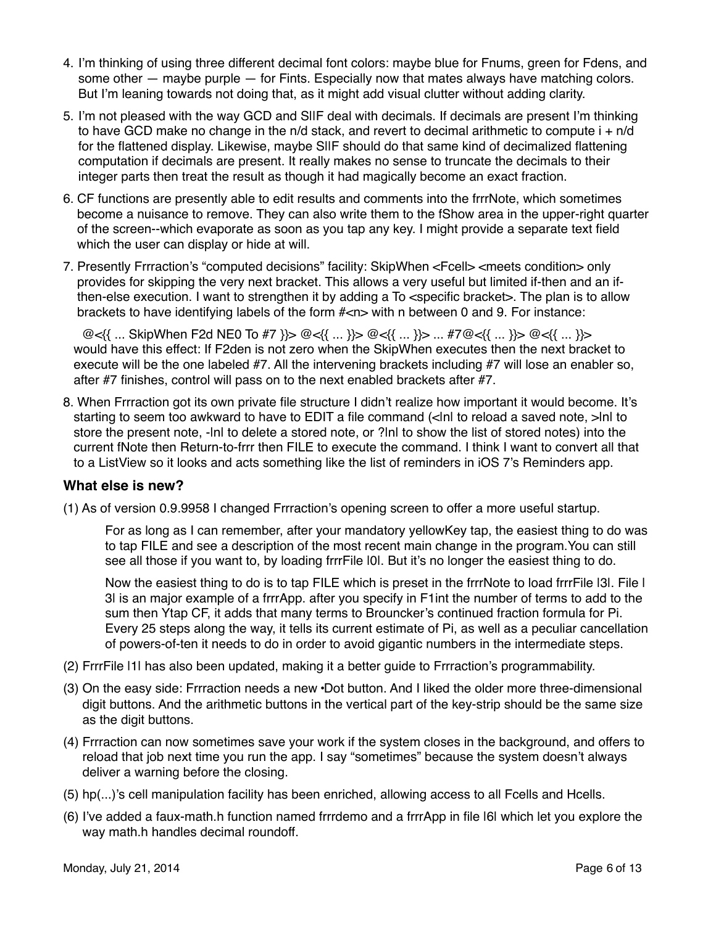- 4. I'm thinking of using three different decimal font colors: maybe blue for Fnums, green for Fdens, and some other — maybe purple — for Fints. Especially now that mates always have matching colors. But I'm leaning towards not doing that, as it might add visual clutter without adding clarity.
- 5. I'm not pleased with the way GCD and SIIF deal with decimals. If decimals are present I'm thinking to have GCD make no change in the n/d stack, and revert to decimal arithmetic to compute  $i + n/d$ for the flattened display. Likewise, maybe SIIF should do that same kind of decimalized flattening computation if decimals are present. It really makes no sense to truncate the decimals to their integer parts then treat the result as though it had magically become an exact fraction.
- 6. CF functions are presently able to edit results and comments into the frrrNote, which sometimes become a nuisance to remove. They can also write them to the fShow area in the upper-right quarter of the screen--which evaporate as soon as you tap any key. I might provide a separate text field which the user can display or hide at will.
- 7. Presently Frrraction's "computed decisions" facility: SkipWhen <Fcell> <meets condition> only provides for skipping the very next bracket. This allows a very useful but limited if-then and an ifthen-else execution. I want to strengthen it by adding a To <specific bracket>. The plan is to allow brackets to have identifying labels of the form  $\#$ <n $>$  with n between 0 and 9. For instance:

! ! @<{{ ... SkipWhen F2d NE0 To #7 }}> @<{{ ... }}> @<{{ ... }}> ... #7@<{{ ... }}> @<{{ ... }}> would have this effect: If F2den is not zero when the SkipWhen executes then the next bracket to execute will be the one labeled #7. All the intervening brackets including #7 will lose an enabler so, after #7 finishes, control will pass on to the next enabled brackets after #7.

8. When Frrraction got its own private file structure I didn't realize how important it would become. It's starting to seem too awkward to have to EDIT a file command (<lnl to reload a saved note, >lnl to store the present note, -|n| to delete a stored note, or ?|n| to show the list of stored notes) into the current fNote then Return-to-frrr then FILE to execute the command. I think I want to convert all that to a ListView so it looks and acts something like the list of reminders in iOS 7's Reminders app.

#### **What else is new?**

(1) As of version 0.9.9958 I changed Frrraction's opening screen to offer a more useful startup.

For as long as I can remember, after your mandatory yellowKey tap, the easiest thing to do was to tap FILE and see a description of the most recent main change in the program.You can still see all those if you want to, by loading frrrFile  $|0|$ . But it's no longer the easiest thing to do.

Now the easiest thing to do is to tap FILE which is preset in the frrrNote to load frrrFile |3|. File | 3| is an major example of a frrrApp. after you specify in F1int the number of terms to add to the sum then Ytap CF, it adds that many terms to Brouncker's continued fraction formula for Pi. Every 25 steps along the way, it tells its current estimate of Pi, as well as a peculiar cancellation of powers-of-ten it needs to do in order to avoid gigantic numbers in the intermediate steps.

- (2) FrrrFile |1| has also been updated, making it a better guide to Frrraction's programmability.
- (3) On the easy side: Frrraction needs a new **·**Dot button. And I liked the older more three-dimensional digit buttons. And the arithmetic buttons in the vertical part of the key-strip should be the same size as the digit buttons.
- (4) Frrraction can now sometimes save your work if the system closes in the background, and offers to reload that job next time you run the app. I say "sometimes" because the system doesn't always deliver a warning before the closing.
- (5) hp(...)'s cell manipulation facility has been enriched, allowing access to all Fcells and Hcells.
- (6) I've added a faux-math.h function named frrrdemo and a frrrApp in file |6| which let you explore the way math.h handles decimal roundoff.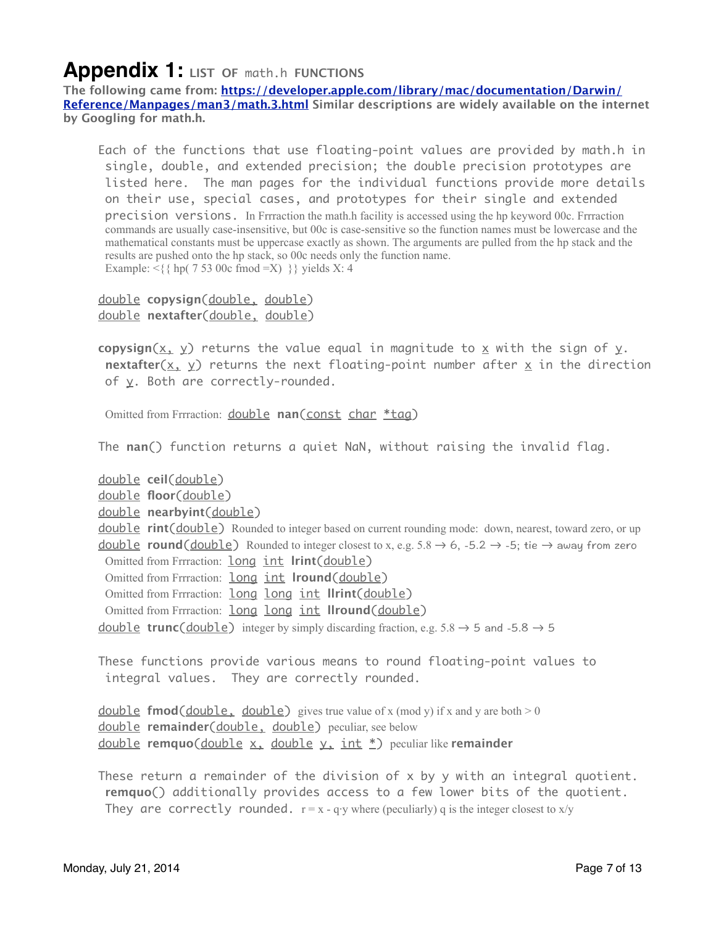### **Appendix 1: LIST OF** math.h **FUNCTIONS**

**The following came from: [https://developer.apple.com/library/mac/documentation/Darwin/](https://developer.apple.com/library/mac/documentation/Darwin/Reference/Manpages/man3/math.3.html) [Reference/Manpages/man3/math.3.html](https://developer.apple.com/library/mac/documentation/Darwin/Reference/Manpages/man3/math.3.html) Similar descriptions are widely available on the internet by Googling for math.h.**

 Each of the functions that use floating-point values are provided by math.h in single, double, and extended precision; the double precision prototypes are listed here. The man pages for the individual functions provide more details on their use, special cases, and prototypes for their single and extended precision versions. In Frrraction the math.h facility is accessed using the hp keyword 00c. Frrraction commands are usually case-insensitive, but 00c is case-sensitive so the function names must be lowercase and the mathematical constants must be uppercase exactly as shown. The arguments are pulled from the hp stack and the results are pushed onto the hp stack, so 00c needs only the function name. Example:  $\{\$  \{ hp( 7 53 00c from <math>d = X) \}</math> \} yields X: 4

 double **copysign**(double, double) double **nextafter**(double, double)

**copysign**( $x, y$ ) returns the value equal in magnitude to x with the sign of y. **nextafter**( $x, y$ ) returns the next floating-point number after  $x$  in the direction of y. Both are correctly-rounded.

Omitted from Frrraction: double **nan**(const char \*tag)

The **nan**() function returns a quiet NaN, without raising the invalid flag.

double **ceil**(double)

double **floor**(double)

double **nearbyint**(double)

 double **rint**(double) Rounded to integer based on current rounding mode: down, nearest, toward zero, or up **<u>double</u> round**(**double**) Rounded to integer closest to x, e.g. 5.8 → 6, -5.2 → -5; tie → away from zero Omitted from Frrraction: long int **lrint**(double)

Omitted from Frrraction: **long int Iround**(double)

Omitted from Frrraction: long long int **llrint**(double)

Omitted from Frrraction: long long int **llround**(double)

<u>double</u> **trunc**( $\frac{double}{}$ ) integer by simply discarding fraction, e.g. 5.8 → 5 and -5.8 → 5

 These functions provide various means to round floating-point values to integral values. They are correctly rounded.

**double fmod**(double, double) gives true value of x (mod y) if x and y are both  $> 0$  double **remainder**(double, double) peculiar, see below double **remquo**(double x, double y, int \*) peculiar like **remainder** 

 These return a remainder of the division of x by y with an integral quotient. **remquo**() additionally provides access to a few lower bits of the quotient. They are correctly rounded.  $r = x - q \cdot y$  where (peculiarly) q is the integer closest to x/y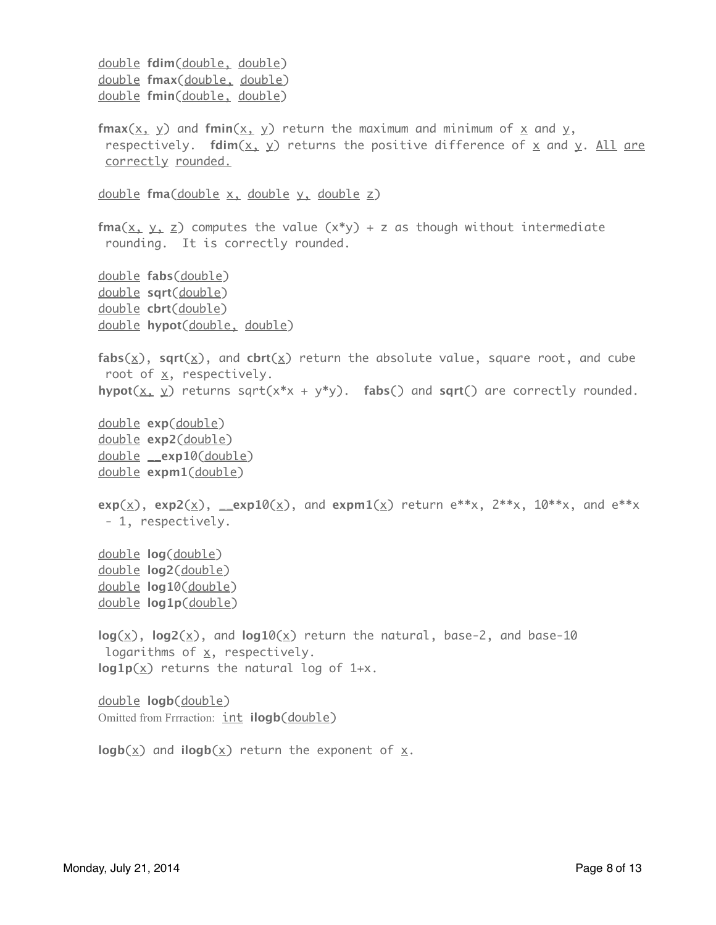```
 double fdim(double, double)
 double fmax(double, double)
 double fmin(double, double)
fmax(x, y) and fmin(x, y) return the maximum and minimum of x and y,
 respectively. fdim(x, y) returns the positive difference of x and y. All are
 correctly rounded.
 double fma(double x, double y, double z)
fma(x, y, z) computes the value (x^*y) + z as though without intermediate
 rounding. It is correctly rounded.
 double fabs(double)
 double sqrt(double)
 double cbrt(double)
 double hypot(double, double)
 fabs(x), sqrt(x), and cbrt(x) return the absolute value, square root, and cube 
root of x, respectively.
hypot(\underline{x}, \underline{y}) returns sqrt(x^*x + y^*y). fabs() and sqrt() are correctly rounded.
 double exp(double)
 double exp2(double)
 double __exp10(double)
 double expm1(double)
exp(\times), exp2(\times), __exp10(\times), and expm1(\times) return e**x, 2**x, 10**x, and e**x
- 1, respectively.
 double log(double)
 double log2(double)
 double log10(double)
 double log1p(double)
 log(x), log2(x), and log10(x) return the natural, base-2, and base-10 
logarithms of x, respectively.
 log1p(x) returns the natural log of 1+x.
 double logb(double)
Omitted from Frrraction: int <b>ilogb(double)
logb(x) and ilogb(x) return the exponent of x.
```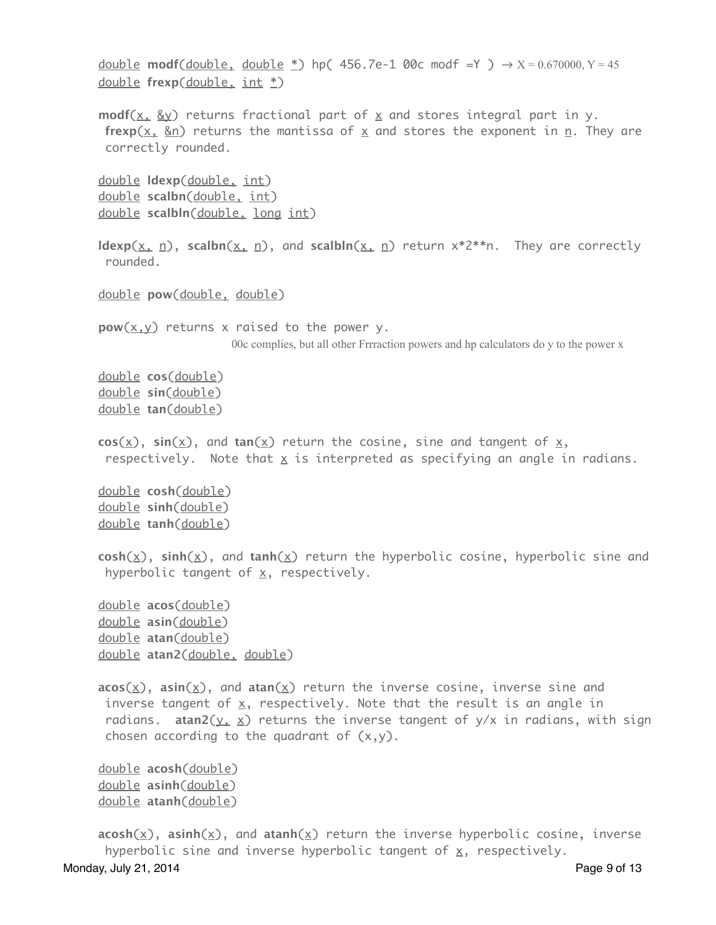```
<u>double</u> \textsf{modf}(\underline{\textsf{double}},\ \underline{\textsf{double}}\ \underline{*}) hp( 456.7e-1 00c modf =Y ) \rightarrow X = 0.670000,Y = 45
      double frexp(double, int *)
     modf(x, \&y) returns fractional part of x and stores integral part in y.
      frexp(x, \&n) returns the mantissa of x and stores the exponent in n. They are
      correctly rounded.
      double ldexp(double, int)
      double scalbn(double, int)
      double scalbln(double, long int)
     ldexp(x, n), scalbn(x, n), and scalbln(x, n) return x^*2^{**}n. They are correctly
      rounded.
      double pow(double, double)
     pow(x, y) returns x raised to the power y.
                          				 00c complies, but all other Frrraction powers and hp calculators do y to the power x
      double cos(double)
      double sin(double)
      double tan(double)
     cos(x), sin(x), and tan(x) return the cosine, sine and tangent of x,
      respectively. Note that x is interpreted as specifying an angle in radians.
      double cosh(double)
      double sinh(double)
      double tanh(double)
      cosh(x), sinh(x), and tanh(x) return the hyperbolic cosine, hyperbolic sine and 
      hyperbolic tangent of x, respectively.
      double acos(double)
      double asin(double)
      double atan(double)
      double atan2(double, double)
      acos(x), asin(x), and atan(x) return the inverse cosine, inverse sine and 
      inverse tangent of x, respectively. Note that the result is an angle in
      radians. atan2(y, x) returns the inverse tangent of y/x in radians, with sign
      chosen according to the quadrant of (x,y).
      double acosh(double)
      double asinh(double)
      double atanh(double)
     acosh(x), asinh(x), and atanh(x) return the inverse hyperbolic cosine, inverse
```

```
hyperbolic sine and inverse hyperbolic tangent of x, respectively.
Monday, July 21, 2014 Page 9 of 13
```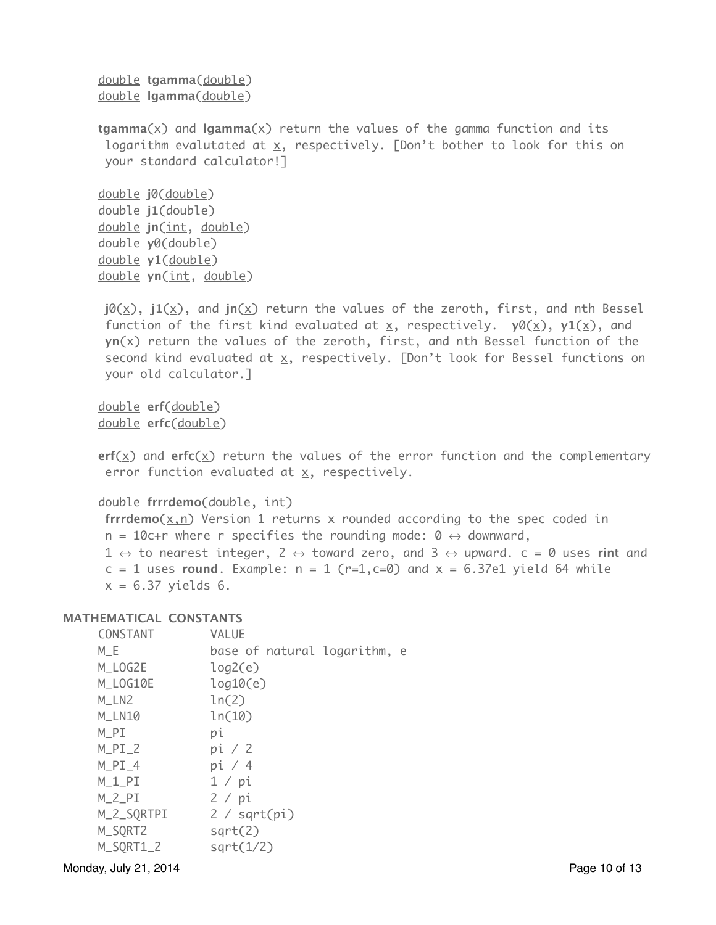```
 double tgamma(double)
 double lgamma(double)
```
**tgamma**(x) and  $\text{lgamma}(x)$  return the values of the gamma function and its logarithm evalutated at  $\underline{x}$ , respectively. [Don't bother to look for this on your standard calculator!]

```
 double j0(double)
 double j1(double)
 double jn(int, double)
 double y0(double)
 double y1(double)
 double yn(int, double)
```
 $j\theta(x)$ ,  $j1(x)$ , and  $jn(x)$  return the values of the zeroth, first, and nth Bessel function of the first kind evaluated at  $x$ , respectively.  $y0(x)$ ,  $y1(x)$ , and **yn**(x) return the values of the zeroth, first, and nth Bessel function of the second kind evaluated at  $x$ , respectively. [Don't look for Bessel functions on your old calculator.]

 double **erf**(double) double **erfc**(double)

**erf**( $\times$ ) and **erfc**( $\times$ ) return the values of the error function and the complementary error function evaluated at  $x$ , respectively.

double **frrrdemo**(double, int)

 **frrrdemo**(x,n) Version 1 returns x rounded according to the spec coded in  $n = 10$ c+r where r specifies the rounding mode: 0  $\leftrightarrow$  downward,  $1 \leftrightarrow$  to nearest integer,  $2 \leftrightarrow$  toward zero, and  $3 \leftrightarrow$  upward.  $c = 0$  uses **rint** and  $c = 1$  uses **round**. Example:  $n = 1$  ( $r=1$ , $c=0$ ) and  $x = 6.37e1$  yield 64 while  $x = 6.37$  yields 6.

#### **MATHEMATICAL CONSTANTS**

| CONSTANT   | VALUE                        |
|------------|------------------------------|
| $M_E$      | base of natural logarithm, e |
| M_LOG2E    | log2(e)                      |
| M_LOG10E   | log10(e)                     |
| M_LN2      | ln(2)                        |
| M_LN10     | ln(10)                       |
| $M_PI$     | рi                           |
| $M_PI_2$   | pi / 2                       |
| $M_PI_4$   | pi / 4                       |
| $M_1_PI$   | 1 / pi                       |
| $M_2_PI$   | 2 / pi                       |
| M_2_SQRTPI | 2 / sqrt(pi)                 |
| M_SQRT2    | sqrt(2)                      |
| M_SQRT1_2  | sqrt(1/2)                    |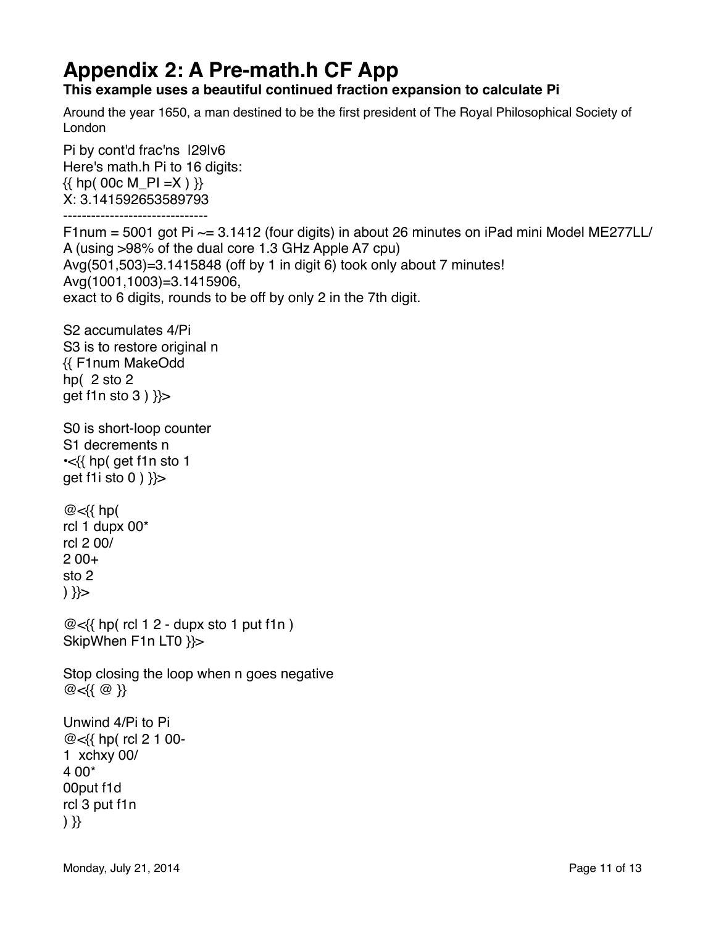## **Appendix 2: A Pre-math.h CF App**

#### **This example uses a beautiful continued fraction expansion to calculate Pi**

Around the year 1650, a man destined to be the first president of The Royal Philosophical Society of London

Pi by cont'd frac'ns |29|v6 Here's math.h Pi to 16 digits:  $\{($  hp( 00c M\_PI =X )  $)\}$ X: 3.141592653589793

------------------------------- F1num = 5001 got Pi  $\sim$  = 3.1412 (four digits) in about 26 minutes on iPad mini Model ME277LL/ A (using >98% of the dual core 1.3 GHz Apple A7 cpu) Avg(501,503)=3.1415848 (off by 1 in digit 6) took only about 7 minutes! Avg(1001,1003)=3.1415906, exact to 6 digits, rounds to be off by only 2 in the 7th digit.

S2 accumulates 4/Pi S3 is to restore original n {{ F1num MakeOdd hp( 2 sto 2 get f1n sto  $3$  )  $\}$ 

S0 is short-loop counter S1 decrements n •<{{ hp( get f1n sto 1 get f1i sto 0 ) }}>

@<{{ hp( rcl 1 dupx 00\* rcl 2 00/ 2 00+ sto 2 ) }}>

 $@<$ {{ hp( rcl 1 2 - dupx sto 1 put f1n) SkipWhen F1n LT0 }}>

Stop closing the loop when n goes negative @<{{ @ }}

```
Unwind 4/Pi to Pi
@<{{ hp( rcl 2 1 00-
1 xchxy 00/
4 00*
00put f1d
rcl 3 put f1n
) }}
```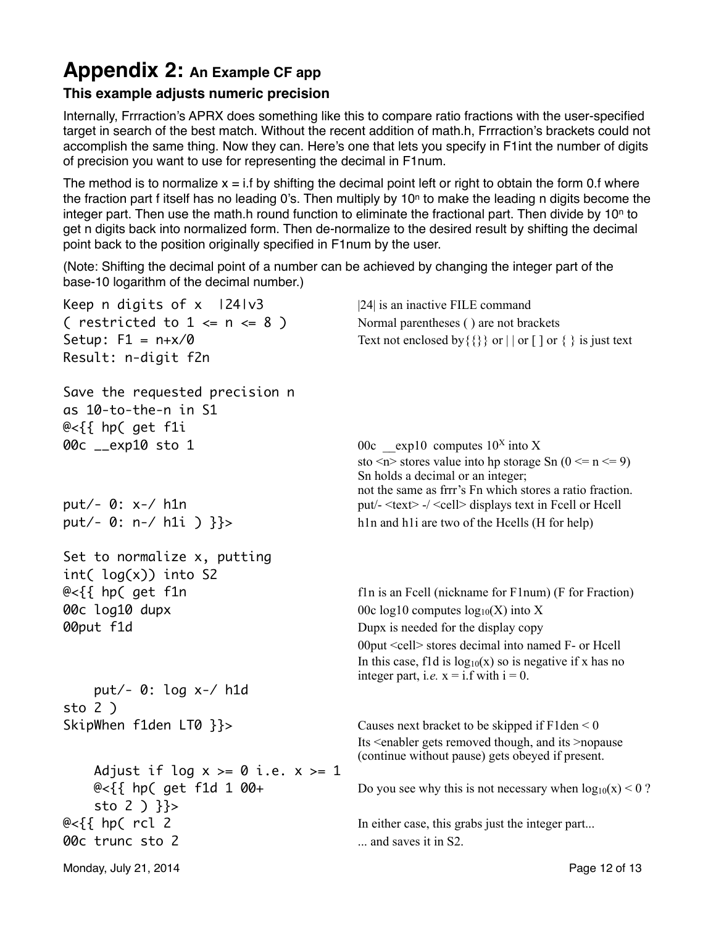### **Appendix 2: An Example CF app**

### **This example adjusts numeric precision**

Internally, Frrraction's APRX does something like this to compare ratio fractions with the user-specified target in search of the best match. Without the recent addition of math.h, Frrraction's brackets could not accomplish the same thing. Now they can. Here's one that lets you specify in F1int the number of digits of precision you want to use for representing the decimal in F1num.

The method is to normalize  $x = i.f$  by shifting the decimal point left or right to obtain the form 0.f where the fraction part f itself has no leading 0's. Then multiply by 10 $n$  to make the leading n digits become the integer part. Then use the math.h round function to eliminate the fractional part. Then divide by  $10<sup>n</sup>$  to get n digits back into normalized form. Then de-normalize to the desired result by shifting the decimal point back to the position originally specified in F1num by the user.

(Note: Shifting the decimal point of a number can be achieved by changing the integer part of the base-10 logarithm of the decimal number.)

| Keep n digits of x 1241v3              | [24] is an inactive FILE command                                                              |
|----------------------------------------|-----------------------------------------------------------------------------------------------|
| ( restricted to $1 \le n \le 8$ )      | Normal parentheses () are not brackets                                                        |
| Setup: $F1 = n+x/0$                    | Text not enclosed by { { } } or $  $ or $[$ $]$ or $\{$ $\}$ is just text                     |
| Result: n-digit f2n                    |                                                                                               |
| Save the requested precision n         |                                                                                               |
| as 10-to-the-n in S1                   |                                                                                               |
| @<{{ hp( get f1i                       |                                                                                               |
| 00c __exp10 sto 1                      | 00c exp10 computes $10^x$ into X                                                              |
|                                        | sto $\leq n$ stores value into hp storage Sn (0 $\leq n \leq 9$ )                             |
|                                        | Sn holds a decimal or an integer;<br>not the same as frrr's Fn which stores a ratio fraction. |
| $put/- 0: x-/- h1n$                    | put/- <text> -/ <cell> displays text in Fcell or Hcell</cell></text>                          |
| put/- 0: n-/ h1i ) $}$                 | h1n and h1i are two of the Hcells (H for help)                                                |
|                                        |                                                                                               |
| Set to normalize x, putting            |                                                                                               |
| $int( log(x))$ into S2                 |                                                                                               |
| $@<$ {{ hp( get f1n                    | fln is an Feell (nickname for Flnum) (F for Fraction)                                         |
| 00c log10 dupx                         | 00c log10 computes $log_{10}(X)$ into X                                                       |
| 00put f1d                              | Dupx is needed for the display copy                                                           |
|                                        | 00put <cell> stores decimal into named F- or Hcell</cell>                                     |
|                                        | In this case, f1d is $log_{10}(x)$ so is negative if x has no                                 |
| put/- 0: log x-/ h1d                   | integer part, i.e. $x = i.f$ with $i = 0$ .                                                   |
| sto $2$ )                              |                                                                                               |
| SkipWhen f1den LT0 }}>                 | Causes next bracket to be skipped if $F1den < 0$                                              |
|                                        | Its <enabler and="" gets="" its="" removed="" though,="">nopause</enabler>                    |
|                                        | (continue without pause) gets obeyed if present.                                              |
| Adjust if log $x \ge 0$ i.e. $x \ge 1$ |                                                                                               |
| @<{{ hp( get f1d 1 00+                 | Do you see why this is not necessary when $log_{10}(x) < 0$ ?                                 |
| sto 2 $)$ }}>                          |                                                                                               |
| $@<$ {{ hp( rcl 2                      | In either case, this grabs just the integer part                                              |
| 00c trunc sto 2                        | and saves it in S2.                                                                           |
| Monday, July 21, 2014                  | Page 12 of 13                                                                                 |